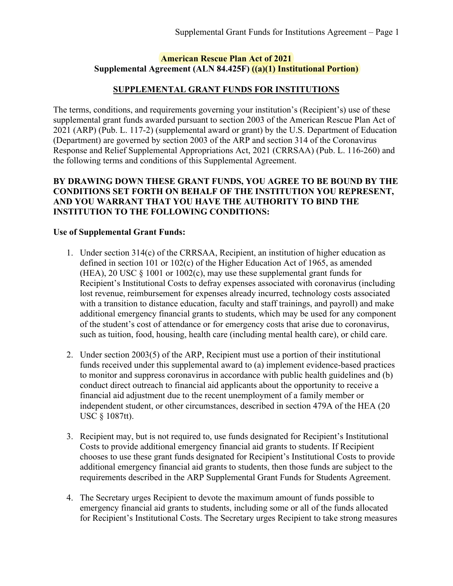#### **American Rescue Plan Act of 2021 Supplemental Agreement (ALN 84.425F) ((a)(1) Institutional Portion)**

## **SUPPLEMENTAL GRANT FUNDS FOR INSTITUTIONS**

The terms, conditions, and requirements governing your institution's (Recipient's) use of these supplemental grant funds awarded pursuant to section 2003 of the American Rescue Plan Act of 2021 (ARP) (Pub. L. 117-2) (supplemental award or grant) by the U.S. Department of Education (Department) are governed by section 2003 of the ARP and section 314 of the Coronavirus Response and Relief Supplemental Appropriations Act, 2021 (CRRSAA) (Pub. L. 116-260) and the following terms and conditions of this Supplemental Agreement.

## **BY DRAWING DOWN THESE GRANT FUNDS, YOU AGREE TO BE BOUND BY THE CONDITIONS SET FORTH ON BEHALF OF THE INSTITUTION YOU REPRESENT, AND YOU WARRANT THAT YOU HAVE THE AUTHORITY TO BIND THE INSTITUTION TO THE FOLLOWING CONDITIONS:**

#### **Use of Supplemental Grant Funds:**

- 1. Under section 314(c) of the CRRSAA, Recipient, an institution of higher education as defined in section 101 or 102(c) of the Higher Education Act of 1965, as amended (HEA), 20 USC  $\S$  1001 or 1002(c), may use these supplemental grant funds for Recipient's Institutional Costs to defray expenses associated with coronavirus (including lost revenue, reimbursement for expenses already incurred, technology costs associated with a transition to distance education, faculty and staff trainings, and payroll) and make additional emergency financial grants to students, which may be used for any component of the student's cost of attendance or for emergency costs that arise due to coronavirus, such as tuition, food, housing, health care (including mental health care), or child care.
- 2. Under section 2003(5) of the ARP, Recipient must use a portion of their institutional funds received under this supplemental award to (a) implement evidence-based practices to monitor and suppress coronavirus in accordance with public health guidelines and (b) conduct direct outreach to financial aid applicants about the opportunity to receive a financial aid adjustment due to the recent unemployment of a family member or independent student, or other circumstances, described in section 479A of the HEA (20 USC § 1087tt).
- 3. Recipient may, but is not required to, use funds designated for Recipient's Institutional Costs to provide additional emergency financial aid grants to students. If Recipient chooses to use these grant funds designated for Recipient's Institutional Costs to provide additional emergency financial aid grants to students, then those funds are subject to the requirements described in the ARP Supplemental Grant Funds for Students Agreement.
- 4. The Secretary urges Recipient to devote the maximum amount of funds possible to emergency financial aid grants to students, including some or all of the funds allocated for Recipient's Institutional Costs. The Secretary urges Recipient to take strong measures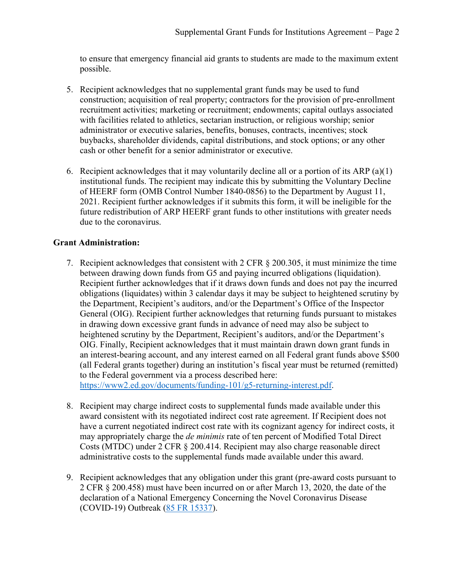to ensure that emergency financial aid grants to students are made to the maximum extent possible.

- 5. Recipient acknowledges that no supplemental grant funds may be used to fund construction; acquisition of real property; contractors for the provision of pre-enrollment recruitment activities; marketing or recruitment; endowments; capital outlays associated with facilities related to athletics, sectarian instruction, or religious worship; senior administrator or executive salaries, benefits, bonuses, contracts, incentives; stock buybacks, shareholder dividends, capital distributions, and stock options; or any other cash or other benefit for a senior administrator or executive.
- 6. Recipient acknowledges that it may voluntarily decline all or a portion of its ARP  $(a)(1)$ institutional funds. The recipient may indicate this by submitting the Voluntary Decline of HEERF form (OMB Control Number 1840-0856) to the Department by August 11, 2021. Recipient further acknowledges if it submits this form, it will be ineligible for the future redistribution of ARP HEERF grant funds to other institutions with greater needs due to the coronavirus.

# **Grant Administration:**

7. Recipient acknowledges that consistent with 2 CFR § 200.305, it must minimize the time between drawing down funds from G5 and paying incurred obligations (liquidation). Recipient further acknowledges that if it draws down funds and does not pay the incurred obligations (liquidates) within 3 calendar days it may be subject to heightened scrutiny by the Department, Recipient's auditors, and/or the Department's Office of the Inspector General (OIG). Recipient further acknowledges that returning funds pursuant to mistakes in drawing down excessive grant funds in advance of need may also be subject to heightened scrutiny by the Department, Recipient's auditors, and/or the Department's OIG. Finally, Recipient acknowledges that it must maintain drawn down grant funds in an interest-bearing account, and any interest earned on all Federal grant funds above \$500 (all Federal grants together) during an institution's fiscal year must be returned (remitted) to the Federal government via a process described here:

[https://www2.ed.gov/documents/funding-101/g5-returning-interest.pdf.](https://www2.ed.gov/documents/funding-101/g5-returning-interest.pdf)

- 8. Recipient may charge indirect costs to supplemental funds made available under this award consistent with its negotiated indirect cost rate agreement. If Recipient does not have a current negotiated indirect cost rate with its cognizant agency for indirect costs, it may appropriately charge the *de minimis* rate of ten percent of Modified Total Direct Costs (MTDC) under 2 CFR § 200.414. Recipient may also charge reasonable direct administrative costs to the supplemental funds made available under this award.
- 9. Recipient acknowledges that any obligation under this grant (pre-award costs pursuant to 2 CFR § 200.458) must have been incurred on or after March 13, 2020, the date of the declaration of a National Emergency Concerning the Novel Coronavirus Disease (COVID-19) Outbreak [\(85 FR 15337\)](https://www.federalregister.gov/d/2020-05794).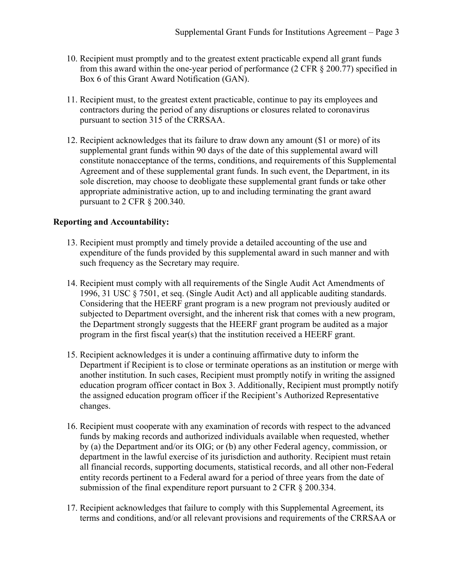- 10. Recipient must promptly and to the greatest extent practicable expend all grant funds from this award within the one-year period of performance (2 CFR § 200.77) specified in Box 6 of this Grant Award Notification (GAN).
- 11. Recipient must, to the greatest extent practicable, continue to pay its employees and contractors during the period of any disruptions or closures related to coronavirus pursuant to section 315 of the CRRSAA.
- 12. Recipient acknowledges that its failure to draw down any amount (\$1 or more) of its supplemental grant funds within 90 days of the date of this supplemental award will constitute nonacceptance of the terms, conditions, and requirements of this Supplemental Agreement and of these supplemental grant funds. In such event, the Department, in its sole discretion, may choose to deobligate these supplemental grant funds or take other appropriate administrative action, up to and including terminating the grant award pursuant to 2 CFR § 200.340.

#### **Reporting and Accountability:**

- 13. Recipient must promptly and timely provide a detailed accounting of the use and expenditure of the funds provided by this supplemental award in such manner and with such frequency as the Secretary may require.
- 14. Recipient must comply with all requirements of the Single Audit Act Amendments of 1996, 31 USC § 7501, et seq. (Single Audit Act) and all applicable auditing standards. Considering that the HEERF grant program is a new program not previously audited or subjected to Department oversight, and the inherent risk that comes with a new program, the Department strongly suggests that the HEERF grant program be audited as a major program in the first fiscal year(s) that the institution received a HEERF grant.
- 15. Recipient acknowledges it is under a continuing affirmative duty to inform the Department if Recipient is to close or terminate operations as an institution or merge with another institution. In such cases, Recipient must promptly notify in writing the assigned education program officer contact in Box 3. Additionally, Recipient must promptly notify the assigned education program officer if the Recipient's Authorized Representative changes.
- 16. Recipient must cooperate with any examination of records with respect to the advanced funds by making records and authorized individuals available when requested, whether by (a) the Department and/or its OIG; or (b) any other Federal agency, commission, or department in the lawful exercise of its jurisdiction and authority. Recipient must retain all financial records, supporting documents, statistical records, and all other non-Federal entity records pertinent to a Federal award for a period of three years from the date of submission of the final expenditure report pursuant to 2 CFR § 200.334.
- 17. Recipient acknowledges that failure to comply with this Supplemental Agreement, its terms and conditions, and/or all relevant provisions and requirements of the CRRSAA or